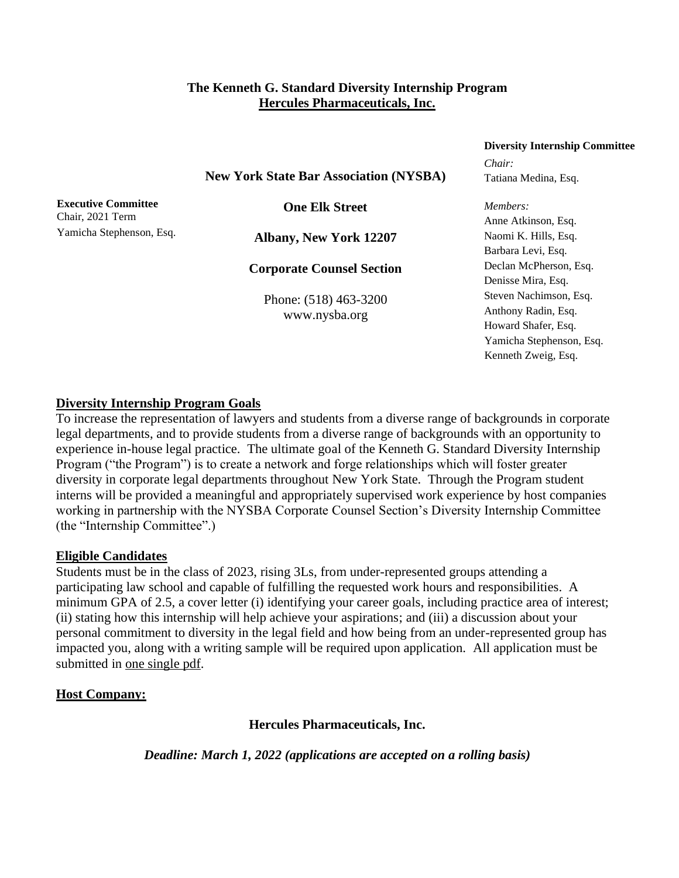#### **The Kenneth G. Standard Diversity Internship Program Hercules Pharmaceuticals, Inc.**

#### **New York State Bar Association (NYSBA)**

**Executive Committee** Chair, 2021 Term Yamicha Stephenson, Esq.

**One Elk Street**

**Albany, New York 12207**

**Corporate Counsel Section**

Phone: (518) 463-3200 www.nysba.org

# **Diversity Internship Committee**

*Chair:* Tatiana Medina, Esq.

*Members:* Anne Atkinson, Esq. Naomi K. Hills, Esq. Barbara Levi, Esq. Declan McPherson, Esq. Denisse Mira, Esq. Steven Nachimson, Esq. Anthony Radin, Esq. Howard Shafer, Esq. Yamicha Stephenson, Esq. Kenneth Zweig, Esq.

#### **Diversity Internship Program Goals**

To increase the representation of lawyers and students from a diverse range of backgrounds in corporate legal departments, and to provide students from a diverse range of backgrounds with an opportunity to experience in-house legal practice. The ultimate goal of the Kenneth G. Standard Diversity Internship Program ("the Program") is to create a network and forge relationships which will foster greater diversity in corporate legal departments throughout New York State. Through the Program student interns will be provided a meaningful and appropriately supervised work experience by host companies working in partnership with the NYSBA Corporate Counsel Section's Diversity Internship Committee (the "Internship Committee".)

#### **Eligible Candidates**

Students must be in the class of 2023, rising 3Ls, from under-represented groups attending a participating law school and capable of fulfilling the requested work hours and responsibilities. A minimum GPA of 2.5, a cover letter (i) identifying your career goals, including practice area of interest; (ii) stating how this internship will help achieve your aspirations; and (iii) a discussion about your personal commitment to diversity in the legal field and how being from an under-represented group has impacted you, along with a writing sample will be required upon application.All application must be submitted in one single pdf.

# **Host Company:**

**Hercules Pharmaceuticals, Inc.**

*Deadline: March 1, 2022 (applications are accepted on a rolling basis)*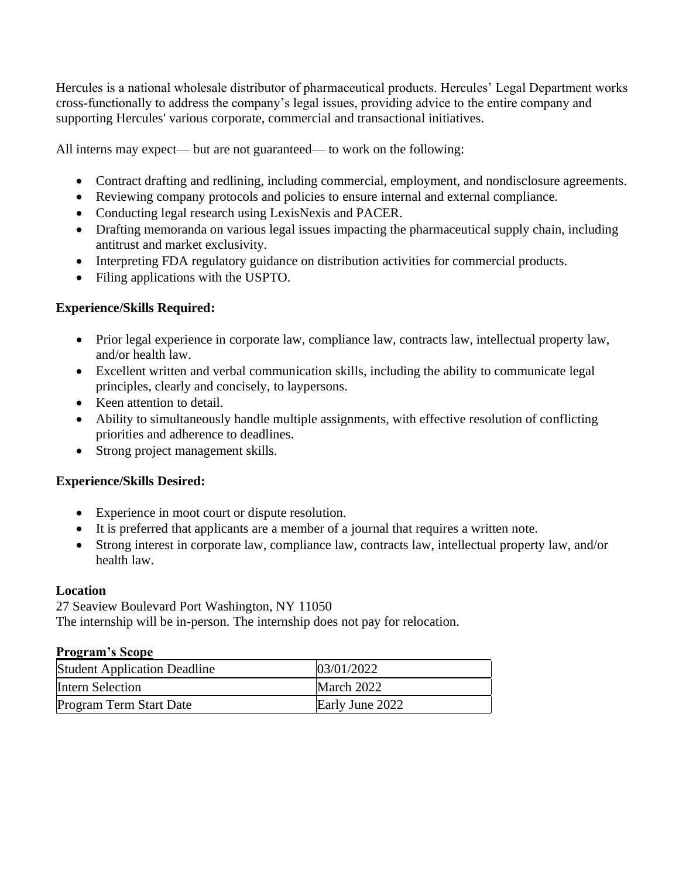Hercules is a national wholesale distributor of pharmaceutical products. Hercules' Legal Department works cross-functionally to address the company's legal issues, providing advice to the entire company and supporting Hercules' various corporate, commercial and transactional initiatives.

All interns may expect— but are not guaranteed— to work on the following:

- Contract drafting and redlining, including commercial, employment, and nondisclosure agreements.
- Reviewing company protocols and policies to ensure internal and external compliance.
- Conducting legal research using LexisNexis and PACER.
- Drafting memoranda on various legal issues impacting the pharmaceutical supply chain, including antitrust and market exclusivity.
- Interpreting FDA regulatory guidance on distribution activities for commercial products.
- Filing applications with the USPTO.

# **Experience/Skills Required:**

- Prior legal experience in corporate law, compliance law, contracts law, intellectual property law, and/or health law.
- Excellent written and verbal communication skills, including the ability to communicate legal principles, clearly and concisely, to laypersons.
- Keen attention to detail.
- Ability to simultaneously handle multiple assignments, with effective resolution of conflicting priorities and adherence to deadlines.
- Strong project management skills.

# **Experience/Skills Desired:**

- Experience in moot court or dispute resolution.
- It is preferred that applicants are a member of a journal that requires a written note.
- Strong interest in corporate law, compliance law, contracts law, intellectual property law, and/or health law.

# **Location**

27 Seaview Boulevard Port Washington, NY 11050 The internship will be in-person. The internship does not pay for relocation.

# **Program's Scope**

| <b>Student Application Deadline</b> | 03/01/2022      |
|-------------------------------------|-----------------|
| <b>Intern Selection</b>             | March 2022      |
| Program Term Start Date             | Early June 2022 |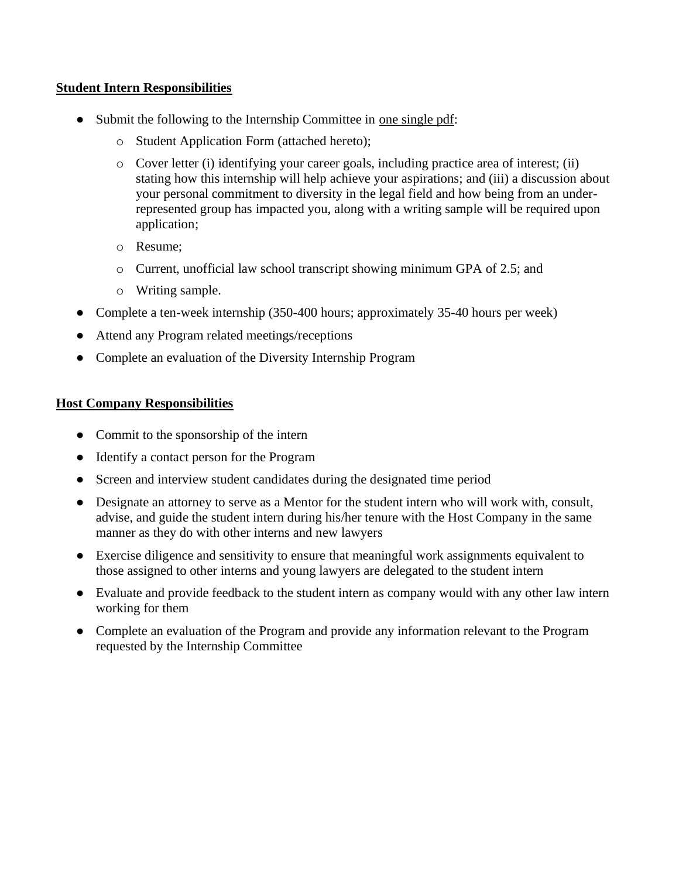#### **Student Intern Responsibilities**

- Submit the following to the Internship Committee in one single pdf:
	- o Student Application Form (attached hereto);
	- $\circ$  Cover letter (i) identifying your career goals, including practice area of interest; (ii) stating how this internship will help achieve your aspirations; and (iii) a discussion about your personal commitment to diversity in the legal field and how being from an underrepresented group has impacted you, along with a writing sample will be required upon application;
	- o Resume;
	- o Current, unofficial law school transcript showing minimum GPA of 2.5; and
	- o Writing sample.
- Complete a ten-week internship (350-400 hours; approximately 35-40 hours per week)
- Attend any Program related meetings/receptions
- Complete an evaluation of the Diversity Internship Program

#### **Host Company Responsibilities**

- Commit to the sponsorship of the intern
- Identify a contact person for the Program
- Screen and interview student candidates during the designated time period
- Designate an attorney to serve as a Mentor for the student intern who will work with, consult, advise, and guide the student intern during his/her tenure with the Host Company in the same manner as they do with other interns and new lawyers
- Exercise diligence and sensitivity to ensure that meaningful work assignments equivalent to those assigned to other interns and young lawyers are delegated to the student intern
- Evaluate and provide feedback to the student intern as company would with any other law intern working for them
- Complete an evaluation of the Program and provide any information relevant to the Program requested by the Internship Committee